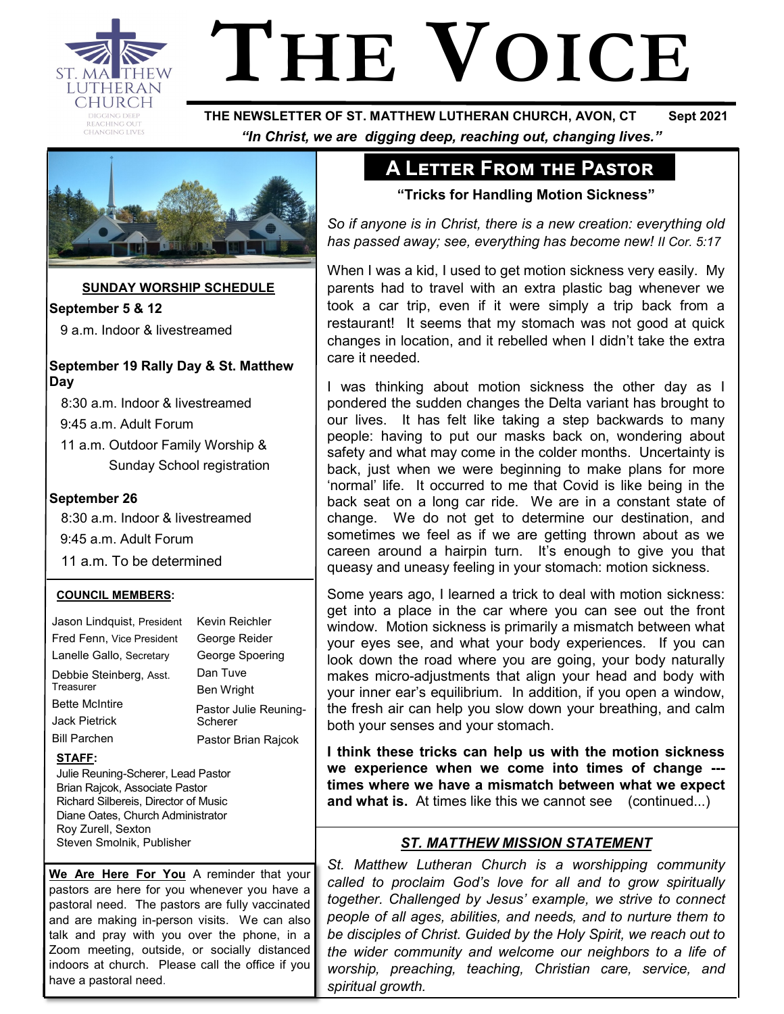

# **THE VOICE**

 **THE NEWSLETTER OF ST. MATTHEW LUTHERAN CHURCH, AVON, CT Sept 2021**  *"In Christ, we are digging deep, reaching out, changing lives."*



**SUNDAY WORSHIP SCHEDULE**

**September 5 & 12** 9 a.m. Indoor & livestreamed

## **September 19 Rally Day & St. Matthew Day**

8:30 a.m. Indoor & livestreamed

9:45 a.m. Adult Forum

 11 a.m. Outdoor Family Worship & Sunday School registration

#### **September 26**

 8:30 a.m. Indoor & livestreamed 9:45 a.m. Adult Forum 11 a.m. To be determined

> Kevin Reichler George Reider George Spoering Dan Tuve Ben Wright

Pastor Julie Reuning-

Pastor Brian Rajcok

Scherer

#### **COUNCIL MEMBERS:**

Jason Lindquist, President Fred Fenn, Vice President Lanelle Gallo, Secretary Debbie Steinberg, Asst. **Treasurer** Bette McIntire Jack Pietrick Bill Parchen

# **STAFF:**

Julie Reuning-Scherer, Lead Pastor Brian Rajcok, Associate Pastor Richard Silbereis, Director of Music Diane Oates, Church Administrator Roy Zurell, Sexton Steven Smolnik, Publisher

**We Are Here For You** A reminder that your pastors are here for you whenever you have a pastoral need. The pastors are fully vaccinated and are making in-person visits. We can also talk and pray with you over the phone, in a Zoom meeting, outside, or socially distanced indoors at church. Please call the office if you have a pastoral need.

# **A Letter From the Pastor**

**"Tricks for Handling Motion Sickness"**

*So if anyone is in Christ, there is a new creation: everything old has passed away; see, everything has become new! II Cor. 5:17*

When I was a kid, I used to get motion sickness very easily. My parents had to travel with an extra plastic bag whenever we took a car trip, even if it were simply a trip back from a restaurant! It seems that my stomach was not good at quick changes in location, and it rebelled when I didn't take the extra care it needed.

I was thinking about motion sickness the other day as I pondered the sudden changes the Delta variant has brought to our lives. It has felt like taking a step backwards to many people: having to put our masks back on, wondering about safety and what may come in the colder months. Uncertainty is back, just when we were beginning to make plans for more 'normal' life. It occurred to me that Covid is like being in the back seat on a long car ride. We are in a constant state of change. We do not get to determine our destination, and sometimes we feel as if we are getting thrown about as we careen around a hairpin turn. It's enough to give you that queasy and uneasy feeling in your stomach: motion sickness.

Some years ago, I learned a trick to deal with motion sickness: get into a place in the car where you can see out the front window. Motion sickness is primarily a mismatch between what your eyes see, and what your body experiences. If you can look down the road where you are going, your body naturally makes micro-adjustments that align your head and body with your inner ear's equilibrium. In addition, if you open a window, the fresh air can help you slow down your breathing, and calm both your senses and your stomach.

**I think these tricks can help us with the motion sickness we experience when we come into times of change -- times where we have a mismatch between what we expect and what is.** At times like this we cannot see (continued...)

# *ST. MATTHEW MISSION STATEMENT*

*St. Matthew Lutheran Church is a worshipping community called to proclaim God's love for all and to grow spiritually together. Challenged by Jesus' example, we strive to connect people of all ages, abilities, and needs, and to nurture them to be disciples of Christ. Guided by the Holy Spirit, we reach out to the wider community and welcome our neighbors to a life of worship, preaching, teaching, Christian care, service, and spiritual growth.*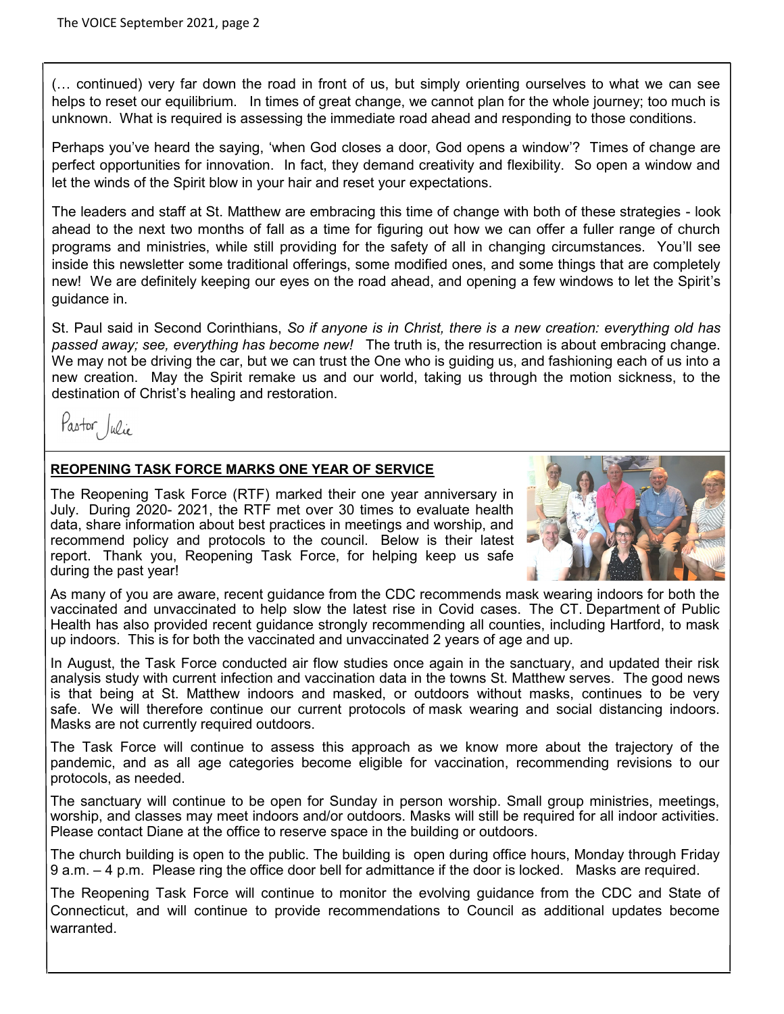(… continued) very far down the road in front of us, but simply orienting ourselves to what we can see helps to reset our equilibrium. In times of great change, we cannot plan for the whole journey; too much is unknown. What is required is assessing the immediate road ahead and responding to those conditions.

Perhaps you've heard the saying, 'when God closes a door, God opens a window'? Times of change are perfect opportunities for innovation. In fact, they demand creativity and flexibility. So open a window and let the winds of the Spirit blow in your hair and reset your expectations.

The leaders and staff at St. Matthew are embracing this time of change with both of these strategies - look ahead to the next two months of fall as a time for figuring out how we can offer a fuller range of church programs and ministries, while still providing for the safety of all in changing circumstances. You'll see inside this newsletter some traditional offerings, some modified ones, and some things that are completely new! We are definitely keeping our eyes on the road ahead, and opening a few windows to let the Spirit's guidance in.

St. Paul said in Second Corinthians, *So if anyone is in Christ, there is a new creation: everything old has passed away; see, everything has become new!* The truth is, the resurrection is about embracing change. We may not be driving the car, but we can trust the One who is quiding us, and fashioning each of us into a new creation. May the Spirit remake us and our world, taking us through the motion sickness, to the destination of Christ's healing and restoration.

Pastor Julie

#### **REOPENING TASK FORCE MARKS ONE YEAR OF SERVICE**

The Reopening Task Force (RTF) marked their one year anniversary in July. During 2020- 2021, the RTF met over 30 times to evaluate health data, share information about best practices in meetings and worship, and recommend policy and protocols to the council. Below is their latest report. Thank you, Reopening Task Force, for helping keep us safe during the past year!



As many of you are aware, recent guidance from the CDC recommends mask wearing indoors for both the vaccinated and unvaccinated to help slow the latest rise in Covid cases. The CT. Department of Public Health has also provided recent guidance strongly recommending all counties, including Hartford, to mask up indoors. This is for both the vaccinated and unvaccinated 2 years of age and up.

In August, the Task Force conducted air flow studies once again in the sanctuary, and updated their risk analysis study with current infection and vaccination data in the towns St. Matthew serves. The good news is that being at St. Matthew indoors and masked, or outdoors without masks, continues to be very safe. We will therefore continue our current protocols of mask wearing and social distancing indoors. Masks are not currently required outdoors.

The Task Force will continue to assess this approach as we know more about the trajectory of the pandemic, and as all age categories become eligible for vaccination, recommending revisions to our protocols, as needed.

The sanctuary will continue to be open for Sunday in person worship. Small group ministries, meetings, worship, and classes may meet indoors and/or outdoors. Masks will still be required for all indoor activities. Please contact Diane at the office to reserve space in the building or outdoors.

The church building is open to the public. The building is open during office hours, Monday through Friday 9 a.m. – 4 p.m. Please ring the office door bell for admittance if the door is locked. Masks are required.

The Reopening Task Force will continue to monitor the evolving guidance from the CDC and State of Connecticut, and will continue to provide recommendations to Council as additional updates become warranted.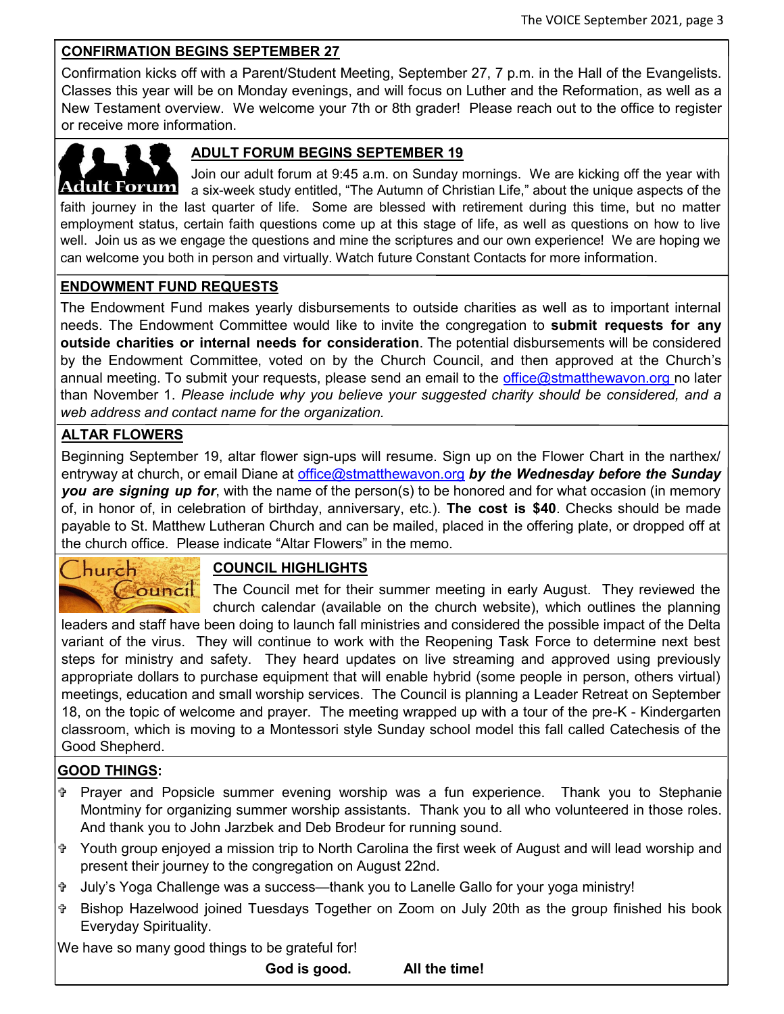# **CONFIRMATION BEGINS SEPTEMBER 27**

Confirmation kicks off with a Parent/Student Meeting, September 27, 7 p.m. in the Hall of the Evangelists. Classes this year will be on Monday evenings, and will focus on Luther and the Reformation, as well as a New Testament overview. We welcome your 7th or 8th grader! Please reach out to the office to register or receive more information.



# **ADULT FORUM BEGINS SEPTEMBER 19**

Join our adult forum at 9:45 a.m. on Sunday mornings. We are kicking off the year with **Adult Forum** a six-week study entitled, "The Autumn of Christian Life," about the unique aspects of the faith journey in the last quarter of life. Some are blessed with retirement during this time, but no matter employment status, certain faith questions come up at this stage of life, as well as questions on how to live well. Join us as we engage the questions and mine the scriptures and our own experience! We are hoping we can welcome you both in person and virtually. Watch future Constant Contacts for more information.

#### **ENDOWMENT FUND REQUESTS**

The Endowment Fund makes yearly disbursements to outside charities as well as to important internal needs. The Endowment Committee would like to invite the congregation to **submit requests for any outside charities or internal needs for consideration**. The potential disbursements will be considered by the Endowment Committee, voted on by the Church Council, and then approved at the Church's annual meeting. To submit your requests, please send an email to the office@stmatthewavon.org no later than November 1. *Please include why you believe your suggested charity should be considered, and a web address and contact name for the organization.* 

#### **ALTAR FLOWERS**

Beginning September 19, altar flower sign-ups will resume. Sign up on the Flower Chart in the narthex/ entryway at church, or email Diane at [office@stmatthewavon.org](mailto:office@stmatthewavon.org) *by the Wednesday before the Sunday you are signing up for*, with the name of the person(s) to be honored and for what occasion (in memory of, in honor of, in celebration of birthday, anniversary, etc.). **The cost is \$40**. Checks should be made payable to St. Matthew Lutheran Church and can be mailed, placed in the offering plate, or dropped off at the church office. Please indicate "Altar Flowers" in the memo.



# **COUNCIL HIGHLIGHTS**

The Council met for their summer meeting in early August. They reviewed the church calendar (available on the church website), which outlines the planning

leaders and staff have been doing to launch fall ministries and considered the possible impact of the Delta variant of the virus. They will continue to work with the Reopening Task Force to determine next best steps for ministry and safety. They heard updates on live streaming and approved using previously appropriate dollars to purchase equipment that will enable hybrid (some people in person, others virtual) meetings, education and small worship services. The Council is planning a Leader Retreat on September 18, on the topic of welcome and prayer. The meeting wrapped up with a tour of the pre-K - Kindergarten classroom, which is moving to a Montessori style Sunday school model this fall called Catechesis of the Good Shepherd.

# **GOOD THINGS:**

- Prayer and Popsicle summer evening worship was a fun experience. Thank you to Stephanie Montminy for organizing summer worship assistants. Thank you to all who volunteered in those roles. And thank you to John Jarzbek and Deb Brodeur for running sound.
- Youth group enjoyed a mission trip to North Carolina the first week of August and will lead worship and present their journey to the congregation on August 22nd.
- July's Yoga Challenge was a success—thank you to Lanelle Gallo for your yoga ministry!
- Bishop Hazelwood joined Tuesdays Together on Zoom on July 20th as the group finished his book Everyday Spirituality.

We have so many good things to be grateful for!

**God is good. All the time!**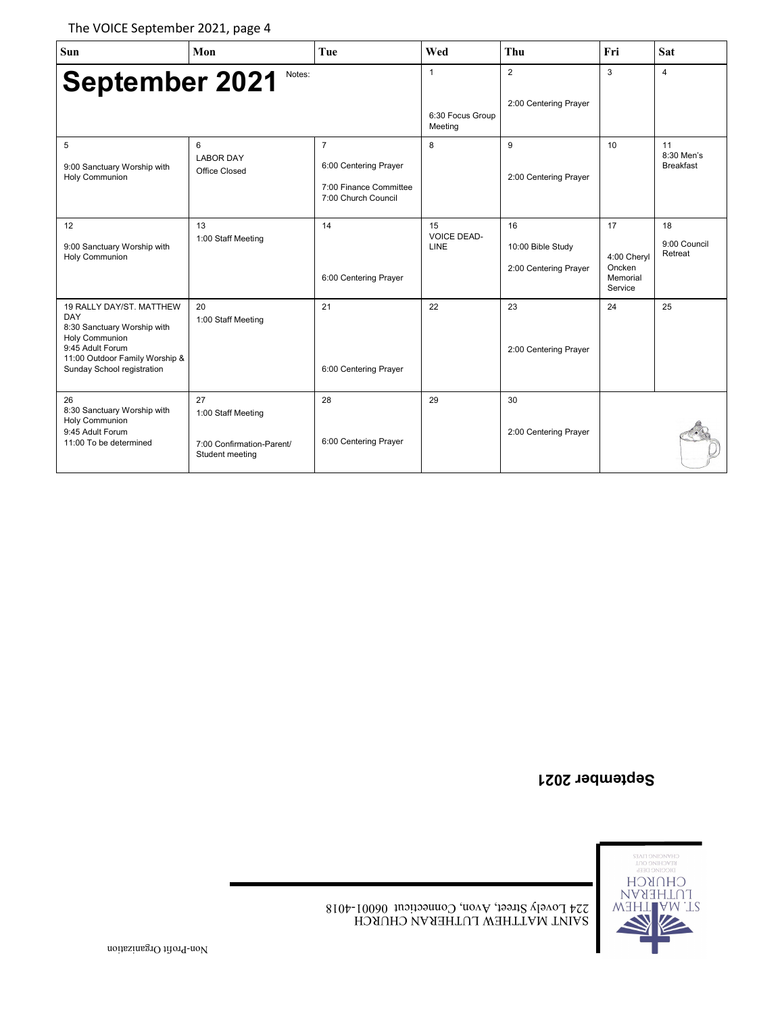The VOICE September 2021, page 4

| Sun                                                                                                                                                                  | Mon                                                                      | Tue                                                                                      | Wed                                         | <b>Thu</b>                                       | Fri                                                | Sat                                  |
|----------------------------------------------------------------------------------------------------------------------------------------------------------------------|--------------------------------------------------------------------------|------------------------------------------------------------------------------------------|---------------------------------------------|--------------------------------------------------|----------------------------------------------------|--------------------------------------|
| <b>September 2021</b>                                                                                                                                                | Notes:                                                                   |                                                                                          | $\mathbf{1}$<br>6:30 Focus Group<br>Meeting | 2<br>2:00 Centering Prayer                       | 3                                                  | $\overline{4}$                       |
| 5<br>9:00 Sanctuary Worship with<br>Holy Communion                                                                                                                   | 6<br><b>LABOR DAY</b><br>Office Closed                                   | $\overline{7}$<br>6:00 Centering Prayer<br>7:00 Finance Committee<br>7:00 Church Council | 8                                           | 9<br>2:00 Centering Prayer                       | 10                                                 | 11<br>8:30 Men's<br><b>Breakfast</b> |
| 12<br>9:00 Sanctuary Worship with<br>Holy Communion                                                                                                                  | 13<br>1:00 Staff Meeting                                                 | 14<br>6:00 Centering Prayer                                                              | 15<br><b>VOICE DEAD-</b><br>LINE            | 16<br>10:00 Bible Study<br>2:00 Centering Prayer | 17<br>4:00 Chervl<br>Oncken<br>Memorial<br>Service | 18<br>9:00 Council<br>Retreat        |
| 19 RALLY DAY/ST. MATTHEW<br>DAY<br>8:30 Sanctuary Worship with<br>Holy Communion<br>9:45 Adult Forum<br>11:00 Outdoor Family Worship &<br>Sunday School registration | 20<br>1:00 Staff Meeting                                                 | 21<br>6:00 Centering Prayer                                                              | 22                                          | 23<br>2:00 Centering Prayer                      | 24                                                 | 25                                   |
| 26<br>8:30 Sanctuary Worship with<br>Holy Communion<br>9:45 Adult Forum<br>11:00 To be determined                                                                    | 27<br>1:00 Staff Meeting<br>7:00 Confirmation-Parent/<br>Student meeting | 28<br>6:00 Centering Prayer                                                              | 29                                          | 30<br>2:00 Centering Prayer                      |                                                    |                                      |

# **September 2021**

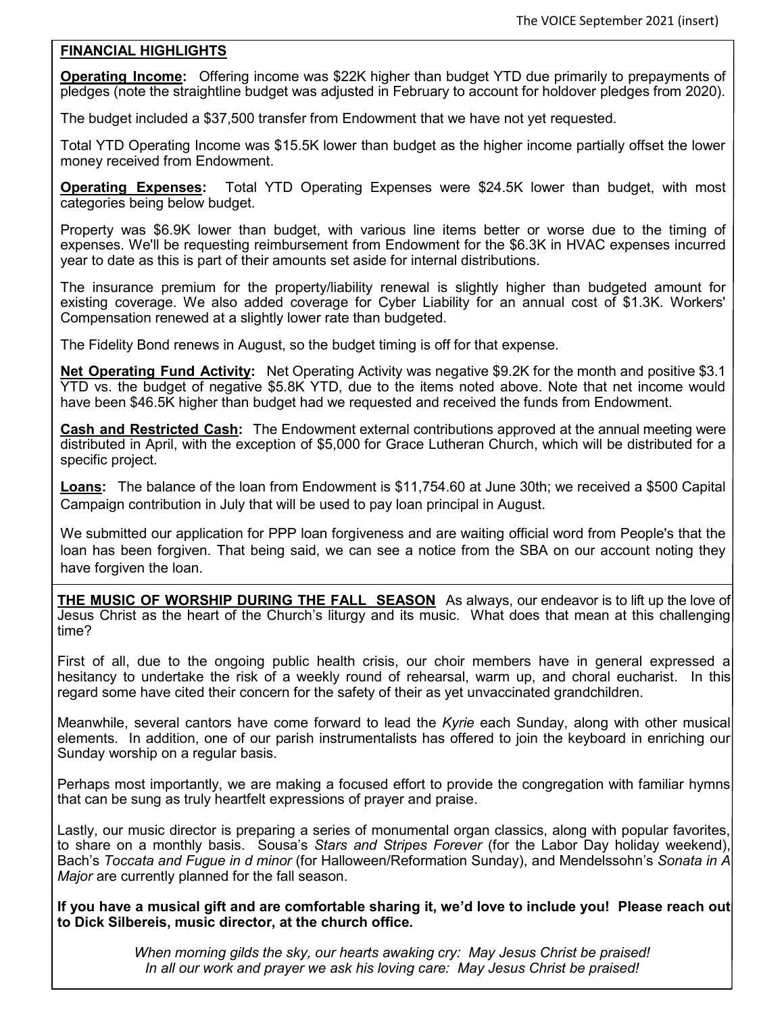#### **FINANCIAL HIGHLIGHTS**

**Operating Income:** Offering income was \$22K higher than budget YTD due primarily to prepayments of pledges (note the straightline budget was adjusted in February to account for holdover pledges from 2020).

The budget included a \$37,500 transfer from Endowment that we have not yet requested.

Total YTD Operating Income was \$15.5K lower than budget as the higher income partially offset the lower money received from Endowment.

**Operating Expenses:** Total YTD Operating Expenses were \$24.5K lower than budget, with most categories being below budget.

Property was \$6.9K lower than budget, with various line items better or worse due to the timing of expenses. We'll be requesting reimbursement from Endowment for the \$6.3K in HVAC expenses incurred year to date as this is part of their amounts set aside for internal distributions.

The insurance premium for the property/liability renewal is slightly higher than budgeted amount for existing coverage. We also added coverage for Cyber Liability for an annual cost of \$1.3K. Workers' Compensation renewed at a slightly lower rate than budgeted.

The Fidelity Bond renews in August, so the budget timing is off for that expense.

**Net Operating Fund Activity:** Net Operating Activity was negative \$9.2K for the month and positive \$3.1 YTD vs. the budget of negative \$5.8K YTD, due to the items noted above. Note that net income would have been \$46.5K higher than budget had we requested and received the funds from Endowment.

**Cash and Restricted Cash:** The Endowment external contributions approved at the annual meeting were distributed in April, with the exception of \$5,000 for Grace Lutheran Church, which will be distributed for a specific project.

**Loans:** The balance of the loan from Endowment is \$11,754.60 at June 30th; we received a \$500 Capital Campaign contribution in July that will be used to pay loan principal in August.

We submitted our application for PPP loan forgiveness and are waiting official word from People's that the loan has been forgiven. That being said, we can see a notice from the SBA on our account noting they have forgiven the loan.

**THE MUSIC OF WORSHIP DURING THE FALL SEASON** As always, our endeavor is to lift up the love of Jesus Christ as the heart of the Church's liturgy and its music. What does that mean at this challenging time?

First of all, due to the ongoing public health crisis, our choir members have in general expressed a hesitancy to undertake the risk of a weekly round of rehearsal, warm up, and choral eucharist. In this regard some have cited their concern for the safety of their as yet unvaccinated grandchildren.

Meanwhile, several cantors have come forward to lead the *Kyrie* each Sunday, along with other musical elements. In addition, one of our parish instrumentalists has offered to join the keyboard in enriching our Sunday worship on a regular basis.

Perhaps most importantly, we are making a focused effort to provide the congregation with familiar hymns that can be sung as truly heartfelt expressions of prayer and praise.

Lastly, our music director is preparing a series of monumental organ classics, along with popular favorites, to share on a monthly basis. Sousa's *Stars and Stripes Forever* (for the Labor Day holiday weekend), Bach's *Toccata and Fugue in d minor* (for Halloween/Reformation Sunday), and Mendelssohn's *Sonata in A Major* are currently planned for the fall season.

**If you have a musical gift and are comfortable sharing it, we'd love to include you! Please reach out to Dick Silbereis, music director, at the church office.**

> *When morning gilds the sky, our hearts awaking cry: May Jesus Christ be praised! In all our work and prayer we ask his loving care: May Jesus Christ be praised!*